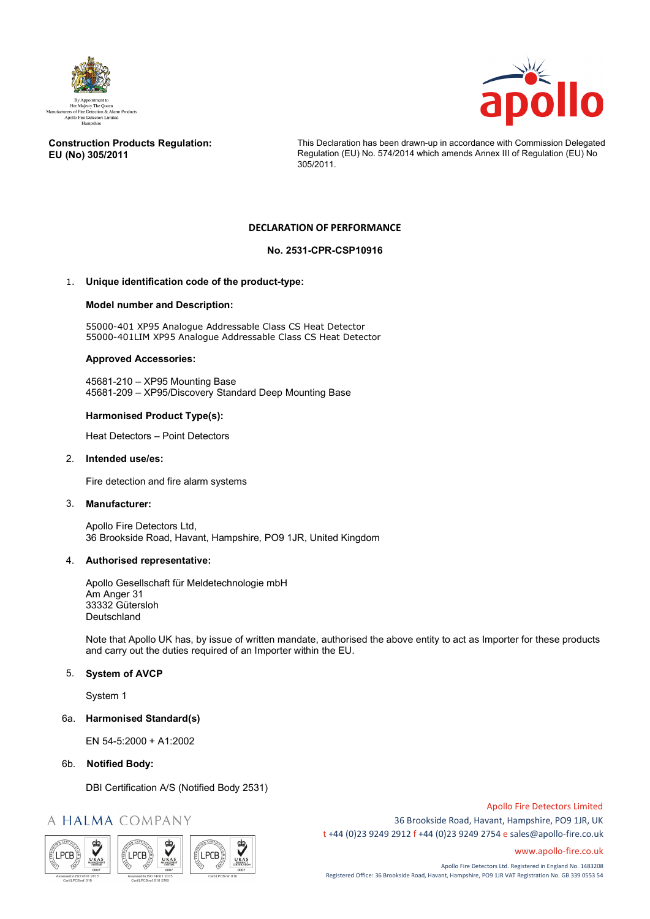



#### **Construction Products Regulation: EU (No) 305/2011**

This Declaration has been drawn-up in accordance with Commission Delegated Regulation (EU) No. 574/2014 which amends Annex III of Regulation (EU) No 305/2011.

## **DECLARATION OF PERFORMANCE**

## **No. 2531-CPR-CSP10916**

## 1. **Unique identification code of the product-type:**

#### **Model number and Description:**

55000-401 XP95 Analogue Addressable Class CS Heat Detector 55000-401LIM XP95 Analogue Addressable Class CS Heat Detector

#### **Approved Accessories:**

45681-210 – XP95 Mounting Base 45681-209 – XP95/Discovery Standard Deep Mounting Base

## **Harmonised Product Type(s):**

Heat Detectors – Point Detectors

#### 2. **Intended use/es:**

Fire detection and fire alarm systems

#### 3. **Manufacturer:**

Apollo Fire Detectors Ltd, 36 Brookside Road, Havant, Hampshire, PO9 1JR, United Kingdom

#### 4. **Authorised representative:**

Apollo Gesellschaft für Meldetechnologie mbH Am Anger 31 33332 Gütersloh Deutschland

Note that Apollo UK has, by issue of written mandate, authorised the above entity to act as Importer for these products and carry out the duties required of an Importer within the EU.

## 5. **System of AVCP**

System 1

#### 6a. **Harmonised Standard(s)**

EN 54-5:2000 + A1:2002

#### 6b. **Notified Body:**

DBI Certification A/S (Notified Body 2531)

# A HALMA COMPANY



Apollo Fire Detectors Limited 36 Brookside Road, Havant, Hampshire, PO9 1JR, UK t +44 (0)23 9249 2912 f +44 (0)23 9249 2754 [e sales@apollo-fire.co.uk](mailto:sales@apollo-fire.co.uk)

[www.apollo-fire.co.uk](http://www.apollo-fire.co.uk/)

Apollo Fire Detectors Ltd. Registered in England No. 1483208 Registered Office: 36 Brookside Road, Havant, Hampshire, PO9 1JR VAT Registration No. GB 339 0553 54